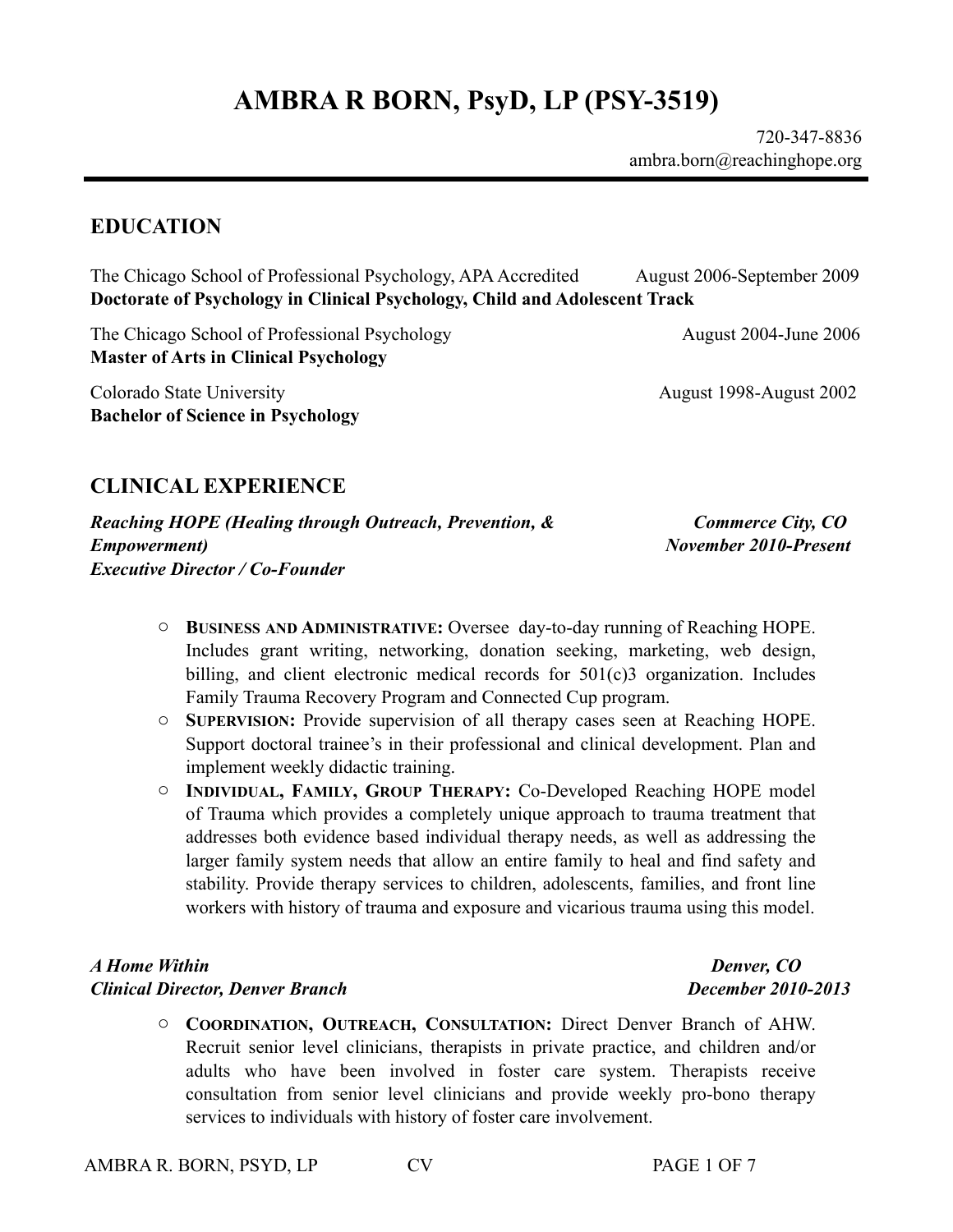## **EDUCATION**

The Chicago School of Professional Psychology, APA Accredited August 2006-September 2009 **Doctorate of Psychology in Clinical Psychology, Child and Adolescent Track**

The Chicago School of Professional Psychology August 2004-June 2006 **Master of Arts in Clinical Psychology** 

Colorado State University **August 1998-August 2002 Bachelor of Science in Psychology**

## **CLINICAL EXPERIENCE**

*Reaching HOPE (Healing through Outreach, Prevention, & Empowerment) Executive Director / Co-Founder*

 *Commerce City, CO November 2010-Present*

> *Denver, CO December 2010-2013*

- o **BUSINESS AND ADMINISTRATIVE:** Oversee day-to-day running of Reaching HOPE. Includes grant writing, networking, donation seeking, marketing, web design, billing, and client electronic medical records for 501(c)3 organization. Includes Family Trauma Recovery Program and Connected Cup program.
- o **SUPERVISION:** Provide supervision of all therapy cases seen at Reaching HOPE. Support doctoral trainee's in their professional and clinical development. Plan and implement weekly didactic training.
- o **INDIVIDUAL, FAMILY, GROUP THERAPY:** Co-Developed Reaching HOPE model of Trauma which provides a completely unique approach to trauma treatment that addresses both evidence based individual therapy needs, as well as addressing the larger family system needs that allow an entire family to heal and find safety and stability. Provide therapy services to children, adolescents, families, and front line workers with history of trauma and exposure and vicarious trauma using this model.

### *A Home Within Clinical Director, Denver Branch*

o **COORDINATION, OUTREACH, CONSULTATION:** Direct Denver Branch of AHW. Recruit senior level clinicians, therapists in private practice, and children and/or adults who have been involved in foster care system. Therapists receive consultation from senior level clinicians and provide weekly pro-bono therapy services to individuals with history of foster care involvement.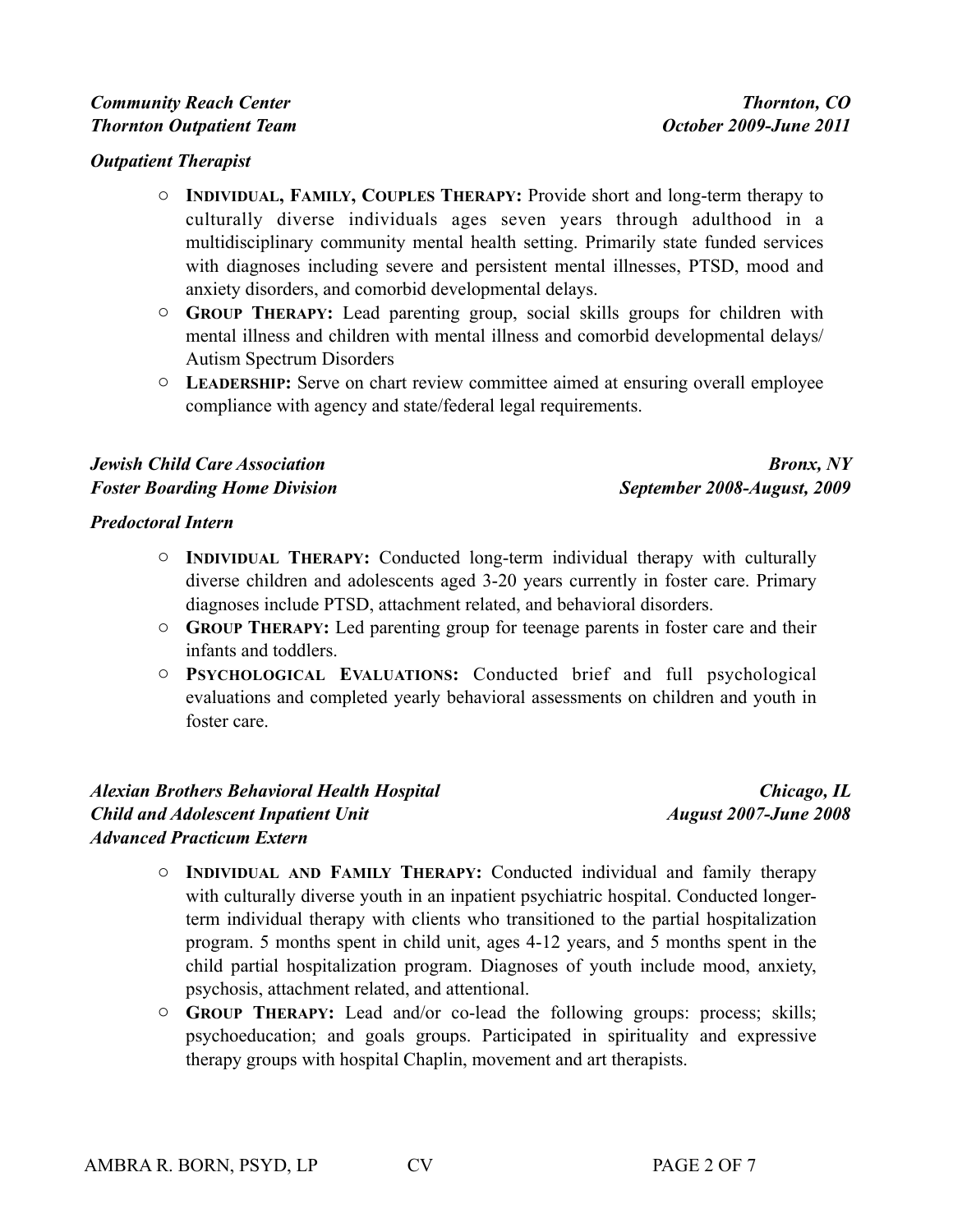### *Community Reach Center Thornton Outpatient Team*

#### *Outpatient Therapist*

- o **INDIVIDUAL, FAMILY, COUPLES THERAPY:** Provide short and long-term therapy to culturally diverse individuals ages seven years through adulthood in a multidisciplinary community mental health setting. Primarily state funded services with diagnoses including severe and persistent mental illnesses, PTSD, mood and anxiety disorders, and comorbid developmental delays.
- o **GROUP THERAPY:** Lead parenting group, social skills groups for children with mental illness and children with mental illness and comorbid developmental delays/ Autism Spectrum Disorders
- o **LEADERSHIP:** Serve on chart review committee aimed at ensuring overall employee compliance with agency and state/federal legal requirements.

### *Jewish Child Care Association Foster Boarding Home Division*

*Bronx, NY September 2008-August, 2009*

#### *Predoctoral Intern*

- o **INDIVIDUAL THERAPY:** Conducted long-term individual therapy with culturally diverse children and adolescents aged 3-20 years currently in foster care. Primary diagnoses include PTSD, attachment related, and behavioral disorders.
- o **GROUP THERAPY:** Led parenting group for teenage parents in foster care and their infants and toddlers.
- o **PSYCHOLOGICAL EVALUATIONS:** Conducted brief and full psychological evaluations and completed yearly behavioral assessments on children and youth in foster care.

### *Alexian Brothers Behavioral Health Hospital Child and Adolescent Inpatient Unit Advanced Practicum Extern*

*Chicago, IL August 2007-June 2008*

- o **INDIVIDUAL AND FAMILY THERAPY:** Conducted individual and family therapy with culturally diverse youth in an inpatient psychiatric hospital. Conducted longerterm individual therapy with clients who transitioned to the partial hospitalization program. 5 months spent in child unit, ages 4-12 years, and 5 months spent in the child partial hospitalization program. Diagnoses of youth include mood, anxiety, psychosis, attachment related, and attentional.
- o **GROUP THERAPY:** Lead and/or co-lead the following groups: process; skills; psychoeducation; and goals groups. Participated in spirituality and expressive therapy groups with hospital Chaplin, movement and art therapists.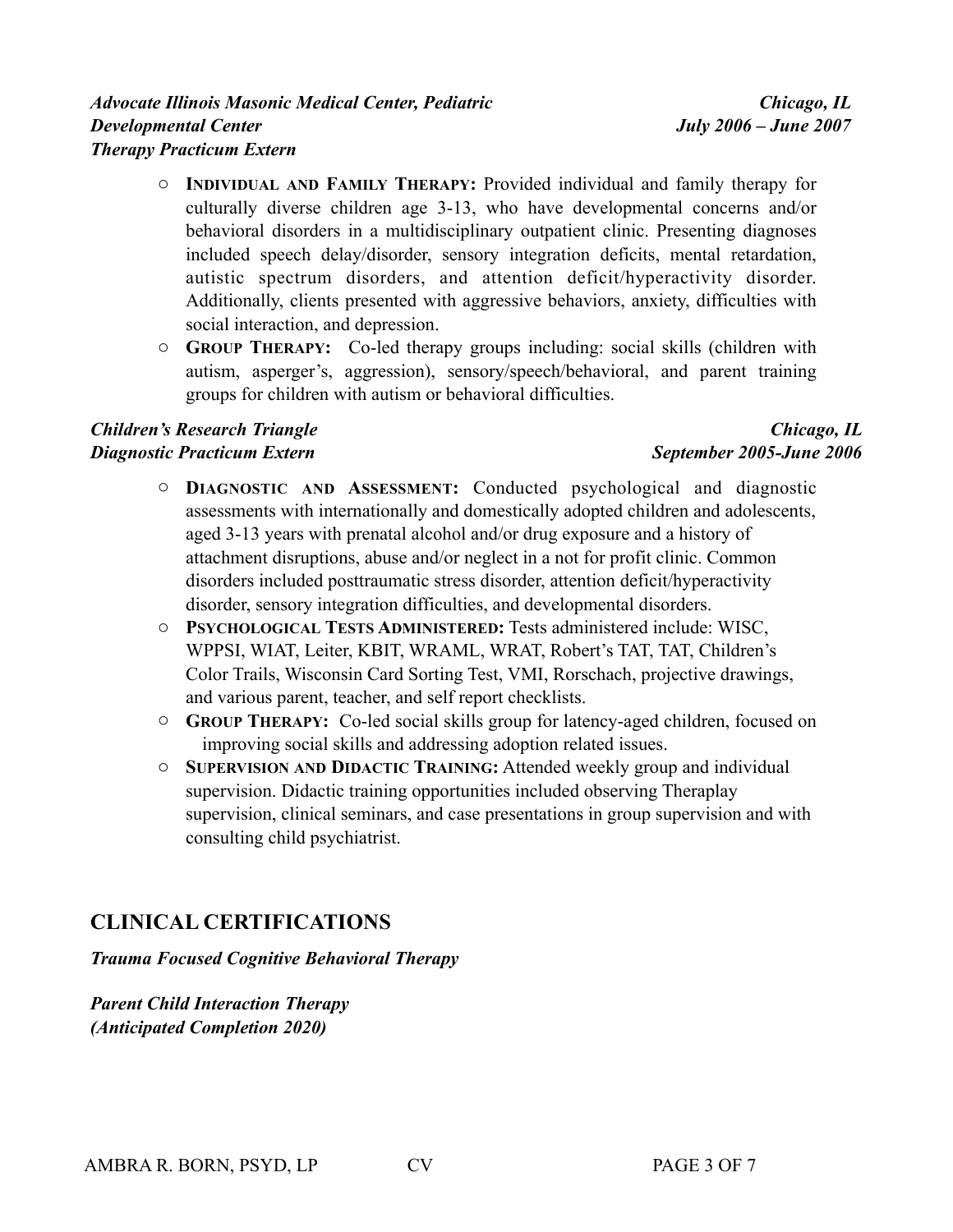#### *Advocate Illinois Masonic Medical Center, Pediatric Developmental Center Therapy Practicum Extern*

- o **INDIVIDUAL AND FAMILY THERAPY:** Provided individual and family therapy for culturally diverse children age 3-13, who have developmental concerns and/or behavioral disorders in a multidisciplinary outpatient clinic. Presenting diagnoses included speech delay/disorder, sensory integration deficits, mental retardation, autistic spectrum disorders, and attention deficit/hyperactivity disorder. Additionally, clients presented with aggressive behaviors, anxiety, difficulties with social interaction, and depression.
- o **GROUP THERAPY:** Co-led therapy groups including: social skills (children with autism, asperger's, aggression), sensory/speech/behavioral, and parent training groups for children with autism or behavioral difficulties.

### *Children's Research Triangle Diagnostic Practicum Extern*

### *Chicago, IL September 2005-June 2006*

- o **DIAGNOSTIC AND ASSESSMENT:** Conducted psychological and diagnostic assessments with internationally and domestically adopted children and adolescents, aged 3-13 years with prenatal alcohol and/or drug exposure and a history of attachment disruptions, abuse and/or neglect in a not for profit clinic. Common disorders included posttraumatic stress disorder, attention deficit/hyperactivity disorder, sensory integration difficulties, and developmental disorders.
- o **PSYCHOLOGICAL TESTS ADMINISTERED:** Tests administered include: WISC, WPPSI, WIAT, Leiter, KBIT, WRAML, WRAT, Robert's TAT, TAT, Children's Color Trails, Wisconsin Card Sorting Test, VMI, Rorschach, projective drawings, and various parent, teacher, and self report checklists.
- o **GROUP THERAPY:** Co-led social skills group for latency-aged children, focused on improving social skills and addressing adoption related issues.
- o **SUPERVISION AND DIDACTIC TRAINING:** Attended weekly group and individual supervision. Didactic training opportunities included observing Theraplay supervision, clinical seminars, and case presentations in group supervision and with consulting child psychiatrist.

## **CLINICAL CERTIFICATIONS**

*Trauma Focused Cognitive Behavioral Therapy* 

*Parent Child Interaction Therapy (Anticipated Completion 2020)*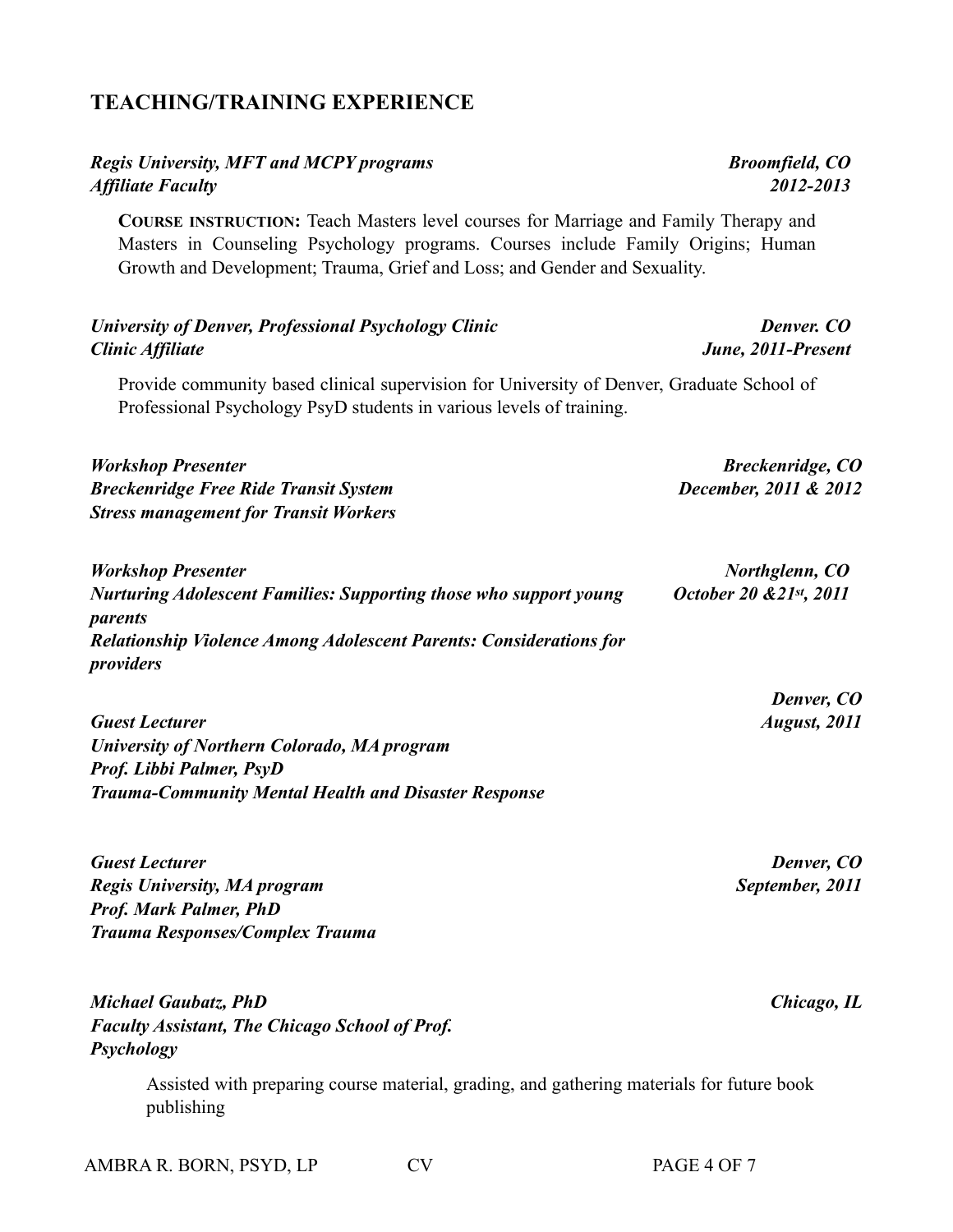# **TEACHING/TRAINING EXPERIENCE**

### *Regis University, MFT and MCPY programs Affiliate Faculty*

**COURSE INSTRUCTION:** Teach Masters level courses for Marriage and Family Therapy and Masters in Counseling Psychology programs. Courses include Family Origins; Human Growth and Development; Trauma, Grief and Loss; and Gender and Sexuality.

#### *University of Denver, Professional Psychology Clinic Clinic Affiliate*

Provide community based clinical supervision for University of Denver, Graduate School of Professional Psychology PsyD students in various levels of training.

| <b>Workshop Presenter</b>                    | <b>Breckenridge, CO</b> |
|----------------------------------------------|-------------------------|
| <b>Breckenridge Free Ride Transit System</b> | December, 2011 & 2012   |
| <b>Stress management for Transit Workers</b> |                         |

| <b>Workshop Presenter</b>                                                 | Northglenn, CO          |
|---------------------------------------------------------------------------|-------------------------|
| <b>Nurturing Adolescent Families: Supporting those who support young</b>  | October 20 & 21st, 2011 |
| parents                                                                   |                         |
| <b>Relationship Violence Among Adolescent Parents: Considerations for</b> |                         |
| <i>providers</i>                                                          |                         |

*Guest Lecturer University of Northern Colorado, MA program Prof. Libbi Palmer, PsyD Trauma-Community Mental Health and Disaster Response*

*Guest Lecturer Regis University, MA program Prof. Mark Palmer, PhD Trauma Responses/Complex Trauma*

*Michael Gaubatz, PhD Faculty Assistant, The Chicago School of Prof. Psychology*

> Assisted with preparing course material, grading, and gathering materials for future book publishing

*Denver, CO September, 2011*

*Denver, CO August, 2011*

*Chicago, IL* 

*Denver. CO June, 2011-Present*

*2012-2013*

*Broomfield, CO*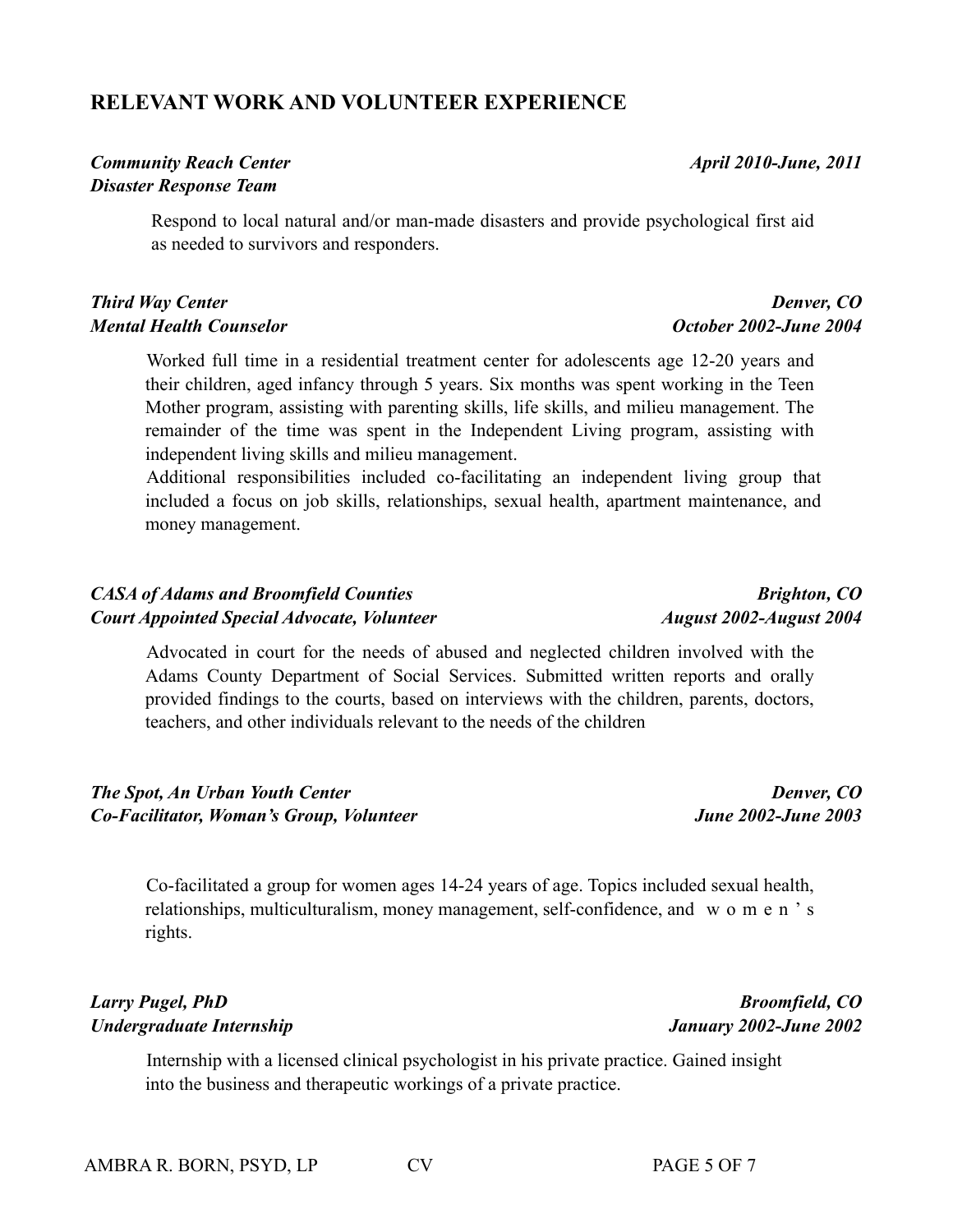## **RELEVANT WORK AND VOLUNTEER EXPERIENCE**

## *Community Reach Center Disaster Response Team*

Respond to local natural and/or man-made disasters and provide psychological first aid as needed to survivors and responders.

## *Third Way Center Mental Health Counselor*

Worked full time in a residential treatment center for adolescents age 12-20 years and their children, aged infancy through 5 years. Six months was spent working in the Teen Mother program, assisting with parenting skills, life skills, and milieu management. The remainder of the time was spent in the Independent Living program, assisting with independent living skills and milieu management.

Additional responsibilities included co-facilitating an independent living group that included a focus on job skills, relationships, sexual health, apartment maintenance, and money management.

## *CASA of Adams and Broomfield Counties Court Appointed Special Advocate, Volunteer*

Advocated in court for the needs of abused and neglected children involved with the Adams County Department of Social Services. Submitted written reports and orally provided findings to the courts, based on interviews with the children, parents, doctors, teachers, and other individuals relevant to the needs of the children

### *The Spot, An Urban Youth Center Co-Facilitator, Woman's Group, Volunteer*

Co-facilitated a group for women ages 14-24 years of age. Topics included sexual health, relationships, multiculturalism, money management, self-confidence, and w o m e n ' s rights.

## *Larry Pugel, PhD Undergraduate Internship*

Internship with a licensed clinical psychologist in his private practice. Gained insight into the business and therapeutic workings of a private practice.

# *Brighton, CO August 2002-August 2004*

*April 2010-June, 2011*

*October 2002-June 2004*

*Denver, CO*

*Broomfield, CO January 2002-June 2002*

*June 2002-June 2003*

*Denver, CO*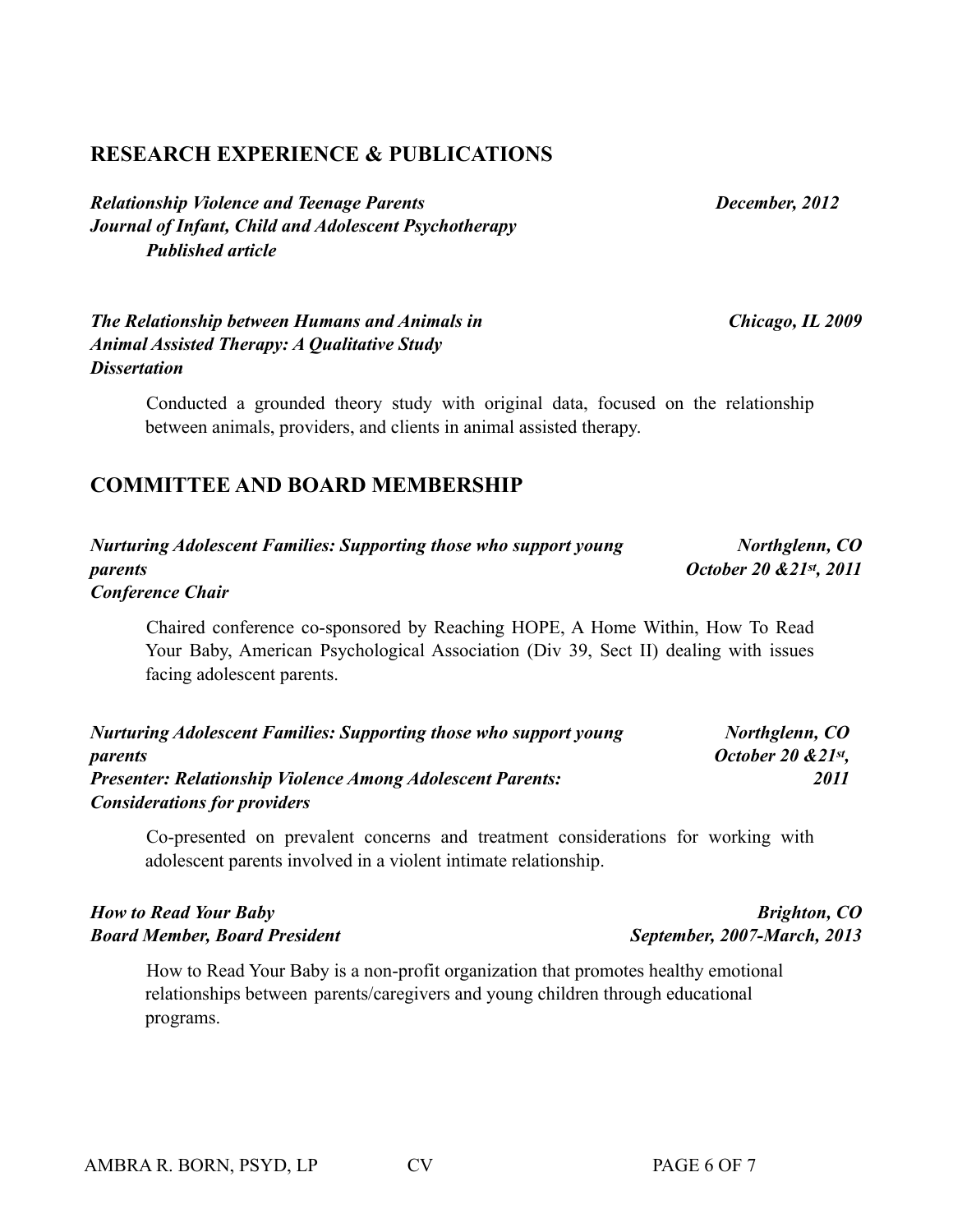## **RESEARCH EXPERIENCE & PUBLICATIONS**

*Relationship Violence and Teenage Parents Journal of Infant, Child and Adolescent Psychotherapy Published article*

*The Relationship between Humans and Animals in Animal Assisted Therapy: A Qualitative Study Dissertation*

> Conducted a grounded theory study with original data, focused on the relationship between animals, providers, and clients in animal assisted therapy.

## **COMMITTEE AND BOARD MEMBERSHIP**

| <b>Nurturing Adolescent Families: Supporting those who support young</b> | Northglenn, CO          |
|--------------------------------------------------------------------------|-------------------------|
| parents                                                                  | October 20 & 21st, 2011 |
| <b>Conference Chair</b>                                                  |                         |

Chaired conference co-sponsored by Reaching HOPE, A Home Within, How To Read Your Baby, American Psychological Association (Div 39, Sect II) dealing with issues facing adolescent parents.

| <b>Nurturing Adolescent Families: Supporting those who support young</b> | Northglenn, CO       |
|--------------------------------------------------------------------------|----------------------|
| parents                                                                  | October 20 $&21st$ , |
| <b>Presenter: Relationship Violence Among Adolescent Parents:</b>        | 2011                 |
| <b>Considerations for providers</b>                                      |                      |

Co-presented on prevalent concerns and treatment considerations for working with adolescent parents involved in a violent intimate relationship.

## *How to Read Your Baby Board Member, Board President*

How to Read Your Baby is a non-profit organization that promotes healthy emotional relationships between parents/caregivers and young children through educational programs.

*Brighton, CO September, 2007-March, 2013*

*Chicago, IL 2009*

 *December, 2012*